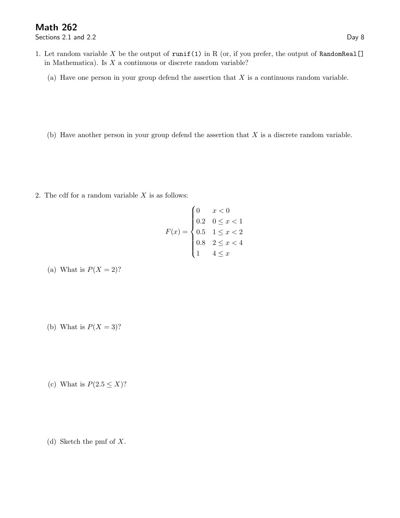Sections 2.1 and 2.2 Day 8

- 1. Let random variable X be the output of runif(1) in R (or, if you prefer, the output of RandomReal[] in Mathematica). Is  $X$  a continuous or discrete random variable?
	- (a) Have one person in your group defend the assertion that  $X$  is a continuous random variable.
	- (b) Have another person in your group defend the assertion that  $X$  is a discrete random variable.

2. The cdf for a random variable  $X$  is as follows:

$$
F(x) = \begin{cases} 0 & x < 0 \\ 0.2 & 0 \le x < 1 \\ 0.5 & 1 \le x < 2 \\ 0.8 & 2 \le x < 4 \\ 1 & 4 \le x \end{cases}
$$

- (a) What is  $P(X = 2)$ ?
- (b) What is  $P(X = 3)$ ?
- (c) What is  $P(2.5 \leq X)$ ?
- (d) Sketch the pmf of X.